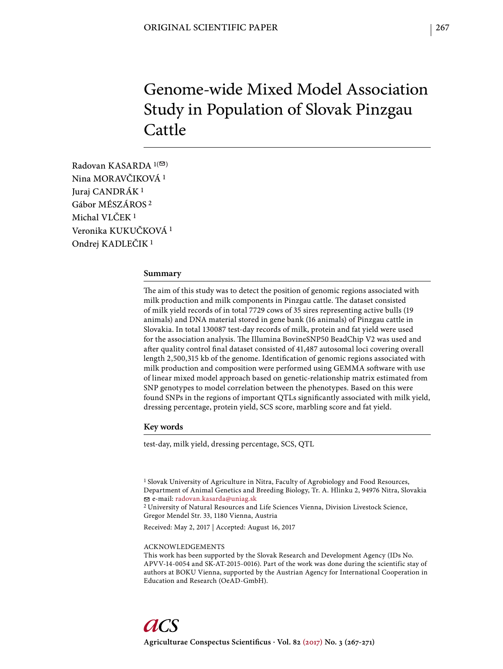# Genome-wide Mixed Model Association Study in Population of Slovak Pinzgau Cattle

Radovan KASARDA  $1(\infty)$ Nina MORAVČIKOVÁ 1 Juraj CANDRÁK 1 Gábor MÉSZÁROS 2 Michal VLČEK 1 Veronika KUKUČKOVÁ 1 Ondrej KADLEČIK 1

# **Summary**

The aim of this study was to detect the position of genomic regions associated with milk production and milk components in Pinzgau cattle. The dataset consisted of milk yield records of in total 7729 cows of 35 sires representing active bulls (19 animals) and DNA material stored in gene bank (16 animals) of Pinzgau cattle in Slovakia. In total 130087 test-day records of milk, protein and fat yield were used for the association analysis. The Illumina BovineSNP50 BeadChip V2 was used and after quality control final dataset consisted of 41,487 autosomal loci covering overall length 2,500,315 kb of the genome. Identification of genomic regions associated with milk production and composition were performed using GEMMA software with use of linear mixed model approach based on genetic-relationship matrix estimated from SNP genotypes to model correlation between the phenotypes. Based on this were found SNPs in the regions of important QTLs significantly associated with milk yield, dressing percentage, protein yield, SCS score, marbling score and fat yield.

# **Key words**

test-day, milk yield, dressing percentage, SCS, QTL

<sup>1</sup> Slovak University of Agriculture in Nitra, Faculty of Agrobiology and Food Resources, Department of Animal Genetics and Breeding Biology, Tr. A. Hlinku 2, 94976 Nitra, Slovakia e-mail: radovan.kasarda@uniag.sk

2 University of Natural Resources and Life Sciences Vienna, Division Livestock Science, Gregor Mendel Str. 33, 1180 Vienna, Austria

Received: May 2, 2017 | Accepted: August 16, 2017

#### ACKNOWLEDGEMENTS

This work has been supported by the Slovak Research and Development Agency (IDs No. APVV-14-0054 and SK-AT-2015-0016). Part of the work was done during the scientific stay of authors at BOKU Vienna, supported by the Austrian Agency for International Cooperation in Education and Research (OeAD-GmbH).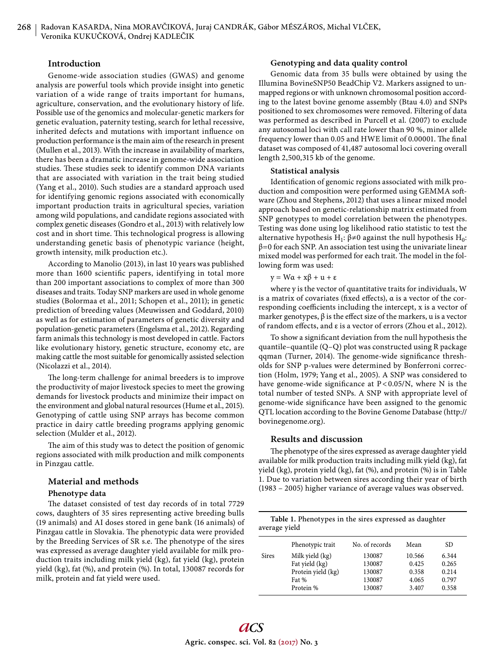# **Introduction**

Genome-wide association studies (GWAS) and genome analysis are powerful tools which provide insight into genetic variation of a wide range of traits important for humans, agriculture, conservation, and the evolutionary history of life. Possible use of the genomics and molecular-genetic markers for genetic evaluation, paternity testing, search for lethal recessive, inherited defects and mutations with important influence on production performance is the main aim of the research in present (Mullen et al., 2013). With the increase in availability of markers, there has been a dramatic increase in genome-wide association studies. These studies seek to identify common DNA variants that are associated with variation in the trait being studied (Yang et al., 2010). Such studies are a standard approach used for identifying genomic regions associated with economically important production traits in agricultural species, variation among wild populations, and candidate regions associated with complex genetic diseases (Gondro et al., 2013) with relatively low cost and in short time. This technological progress is allowing understanding genetic basis of phenotypic variance (height, growth intensity, milk production etc.).

According to Manolio (2013), in last 10 years was published more than 1600 scientific papers, identifying in total more than 200 important associations to complex of more than 300 diseases and traits. Today SNP markers are used in whole genome studies (Bolormaa et al., 2011; Schopen et al., 2011); in genetic prediction of breeding values (Meuwissen and Goddard, 2010) as well as for estimation of parameters of genetic diversity and population-genetic parameters (Engelsma et al., 2012). Regarding farm animals this technology is most developed in cattle. Factors like evolutionary history, genetic structure, economy etc, are making cattle the most suitable for genomically assisted selection (Nicolazzi et al., 2014).

The long-term challenge for animal breeders is to improve the productivity of major livestock species to meet the growing demands for livestock products and minimize their impact on the environment and global natural resources (Hume et al., 2015). Genotyping of cattle using SNP arrays has become common practice in dairy cattle breeding programs applying genomic selection (Mulder et al., 2012).

The aim of this study was to detect the position of genomic regions associated with milk production and milk components in Pinzgau cattle.

# **Material and methods**

#### **Phenotype data**

The dataset consisted of test day records of in total 7729 cows, daughters of 35 sires representing active breeding bulls (19 animals) and AI doses stored in gene bank (16 animals) of Pinzgau cattle in Slovakia. The phenotypic data were provided by the Breeding Services of SR s.e. The phenotype of the sires was expressed as average daughter yield available for milk production traits including milk yield (kg), fat yield (kg), protein yield (kg), fat (%), and protein (%). In total, 130087 records for milk, protein and fat yield were used.

#### **Genotyping and data quality control**

Genomic data from 35 bulls were obtained by using the Illumina BovineSNP50 BeadChip V2. Markers assigned to unmapped regions or with unknown chromosomal position according to the latest bovine genome assembly (Btau 4.0) and SNPs positioned to sex chromosomes were removed. Filtering of data was performed as described in Purcell et al. (2007) to exclude any autosomal loci with call rate lower than 90 %, minor allele frequency lower than 0.05 and HWE limit of 0.00001. The final dataset was composed of 41,487 autosomal loci covering overall length 2,500,315 kb of the genome.

#### **Statistical analysis**

Identification of genomic regions associated with milk production and composition were performed using GEMMA software (Zhou and Stephens, 2012) that uses a linear mixed model approach based on genetic-relationship matrix estimated from SNP genotypes to model correlation between the phenotypes. Testing was done using log likelihood ratio statistic to test the alternative hypothesis H<sub>1</sub>:  $\beta \neq 0$  against the null hypothesis H<sub>0</sub>:  $β=0$  for each SNP. An association test using the univariate linear mixed model was performed for each trait. The model in the following form was used:

 $y = W\alpha + x\beta + u + \varepsilon$ 

where y is the vector of quantitative traits for individuals, W is a matrix of covariates (fixed effects),  $\alpha$  is a vector of the corresponding coefficients including the intercept, x is a vector of marker genotypes,  $\beta$  is the effect size of the markers, u is a vector of random effects, and  $\varepsilon$  is a vector of errors (Zhou et al., 2012).

To show a significant deviation from the null hypothesis the quantile–quantile (Q–Q) plot was constructed using R package qqman (Turner, 2014). The genome-wide significance thresholds for SNP p-values were determined by Bonferroni correction (Holm, 1979; Yang et al., 2005). A SNP was considered to have genome-wide significance at  $P < 0.05/N$ , where N is the total number of tested SNPs. A SNP with appropriate level of genome-wide significance have been assigned to the genomic QTL location according to the Bovine Genome Database (http:// bovinegenome.org).

#### **Results and discussion**

The phenotype of the sires expressed as average daughter yield available for milk production traits including milk yield (kg), fat yield (kg), protein yield (kg), fat (%), and protein (%) is in Table 1. Due to variation between sires according their year of birth (1983 – 2005) higher variance of average values was observed.

| Table 1. Phenotypes in the sires expressed as daughter<br>average yield |                    |                |        |           |  |
|-------------------------------------------------------------------------|--------------------|----------------|--------|-----------|--|
|                                                                         | Phenotypic trait   | No. of records | Mean   | <b>SD</b> |  |
| <b>Sires</b>                                                            | Milk yield (kg)    | 130087         | 10.566 | 6.344     |  |
|                                                                         | Fat yield (kg)     | 130087         | 0.425  | 0.265     |  |
|                                                                         | Protein yield (kg) | 130087         | 0.358  | 0.214     |  |
|                                                                         | Fat %              | 130087         | 4.065  | 0.797     |  |
|                                                                         | Protein %          | 130087         | 3.407  | 0.358     |  |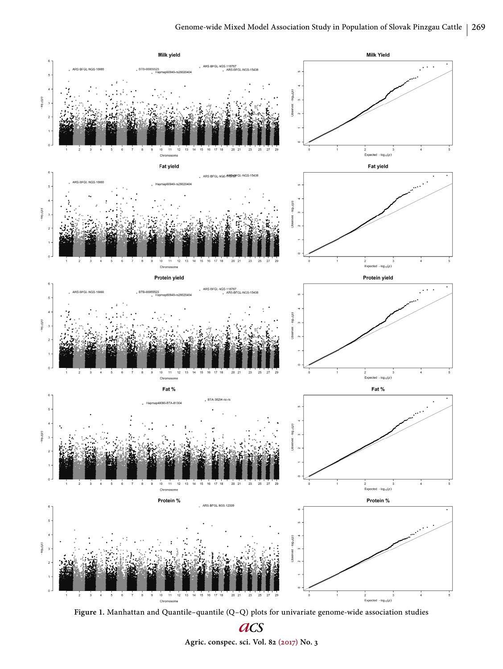

**Figure 1.** Manhattan and Quantile–quantile (Q–Q) plots for univariate genome-wide association studies

acs **Agric. conspec. sci. Vol. 82 (2017) No. 3**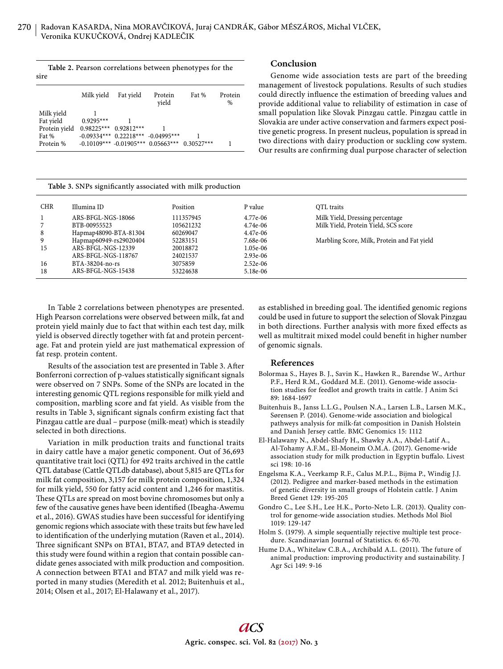| Table 2. Pearson correlations between phenotypes for the |  |
|----------------------------------------------------------|--|
| sire                                                     |  |

|                                          | Milk yield                  | Fat yield                              | Protein<br>vield                                  | Fat % | Protein<br>% |
|------------------------------------------|-----------------------------|----------------------------------------|---------------------------------------------------|-------|--------------|
| Milk yield<br>Fat yield<br>Protein yield | $0.9295***$<br>$0.98225***$ | $0.92812***$                           |                                                   |       |              |
| Fat %<br>Protein %                       |                             | $-0.09334***$ 0.22218*** $-0.04995***$ | $-0.10109***$ $-0.01905***$ 0.05663*** 0.30527*** |       |              |

# **Table 3. SNPs significantly associated with milk production**

# **Conclusion**

Genome wide association tests are part of the breeding management of livestock populations. Results of such studies could directly influence the estimation of breeding values and provide additional value to reliability of estimation in case of small population like Slovak Pinzgau cattle. Pinzgau cattle in Slovakia are under active conservation and farmers expect positive genetic progress. In present nucleus, population is spread in two directions with dairy production or suckling cow system. Our results are confirming dual purpose character of selection

| Table 5. SINT's significantly associated with milk production |                        |           |            |                                             |
|---------------------------------------------------------------|------------------------|-----------|------------|---------------------------------------------|
| <b>CHR</b>                                                    | Illumina ID            | Position  | P value    | QTL traits                                  |
|                                                               | ARS-BFGL-NGS-18066     | 111357945 | 4.77e-06   | Milk Yield, Dressing percentage             |
|                                                               | BTB-00955523           | 105621232 | 4.74e-06   | Milk Yield, Protein Yield, SCS score        |
| 8                                                             | Hapmap48090-BTA-81304  | 60269047  | 4.47e-06   |                                             |
| 9                                                             | Hapmap60949-rs29020404 | 52283151  | 7.68e-06   | Marbling Score, Milk, Protein and Fat yield |
| 15                                                            | ARS-BFGL-NGS-12339     | 20018872  | 1.05e-06   |                                             |
|                                                               | ARS-BFGL-NGS-118767    | 24021537  | $2.93e-06$ |                                             |
| 16                                                            | BTA-38204-no-rs        | 3075859   | $2.52e-06$ |                                             |
| 18                                                            | ARS-BFGL-NGS-15438     | 53224638  | 5.18e-06   |                                             |

In Table 2 correlations between phenotypes are presented. High Pearson correlations were observed between milk, fat and protein yield mainly due to fact that within each test day, milk yield is observed directly together with fat and protein percentage. Fat and protein yield are just mathematical expression of fat resp. protein content.

Results of the association test are presented in Table 3. After Bonferroni correction of p-values statistically significant signals were observed on 7 SNPs. Some of the SNPs are located in the interesting genomic QTL regions responsible for milk yield and composition, marbling score and fat yield. As visible from the results in Table 3, significant signals confirm existing fact that Pinzgau cattle are dual – purpose (milk-meat) which is steadily selected in both directions.

Variation in milk production traits and functional traits in dairy cattle have a major genetic component. Out of 36,693 quantitative trait loci (QTL) for 492 traits archived in the cattle QTL database (Cattle QTLdb database), about 5,815 are QTLs for milk fat composition, 3,157 for milk protein composition, 1,324 for milk yield, 550 for fatty acid content and 1,246 for mastitis. These QTLs are spread on most bovine chromosomes but only a few of the causative genes have been identified (Ibeagha-Awemu et al., 2016). GWAS studies have been successful for identifying genomic regions which associate with these traits but few have led to identification of the underlying mutation (Raven et al., 2014). Three significant SNPs on BTA1, BTA7, and BTA9 detected in this study were found within a region that contain possible candidate genes associated with milk production and composition. A connection between BTA1 and BTA7 and milk yield was reported in many studies (Meredith et al. 2012; Buitenhuis et al., 2014; Olsen et al., 2017; El-Halawany et al., 2017).

as established in breeding goal. The identified genomic regions could be used in future to support the selection of Slovak Pinzgau in both directions. Further analysis with more fixed effects as well as multitrait mixed model could benefit in higher number of genomic signals.

### **References**

- Bolormaa S., Hayes B. J., Savin K., Hawken R., Barendse W., Arthur P.F., Herd R.M., Goddard M.E. (2011). Genome-wide association studies for feedlot and growth traits in cattle. J Anim Sci 89: 1684-1697
- Buitenhuis B., Janss L.L.G., Poulsen N.A., Larsen L.B., Larsen M.K., Sørensen P. (2014). Genome-wide association and biological pathweys analysis for milk-fat composition in Danish Holstein and Danish Jersey cattle. BMC Genomics 15: 1112
- El-Halawany N., Abdel-Shafy H., Shawky A.A., Abdel-Latif A., Al-Tohamy A.F.M., El-Moneim O.M.A. (2017). Genome-wide association study for milk production in Egyptin buffalo. Livest sci 198: 10-16
- Engelsma K.A., Veerkamp R.F., Calus M.P.L., Bijma P., Windig J.J. (2012). Pedigree and marker-based methods in the estimation of genetic diversity in small groups of Holstein cattle. J Anim Breed Genet 129: 195-205
- Gondro C., Lee S.H., Lee H.K., Porto-Neto L.R. (2013). Quality control for genome-wide association studies. Methods Mol Biol 1019: 129-147
- Holm S. (1979). A simple sequentially rejective multiple test procedure. Scandinavian Journal of Statistics. 6: 65-70.
- Hume D.A., Whitelaw C.B.A., Archibald A.L. (2011). The future of animal production: improving productivity and sustainability. J Agr Sci 149: 9-16